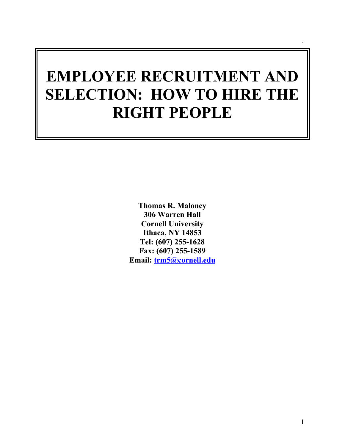# **EMPLOYEE RECRUITMENT AND SELECTION: HOW TO HIRE THE RIGHT PEOPLE**

**Thomas R. Maloney 306 Warren Hall Cornell University Ithaca, NY 14853 Tel: (607) 255-1628 Fax: (607) 255-1589 Email: trm5@cornell.edu** `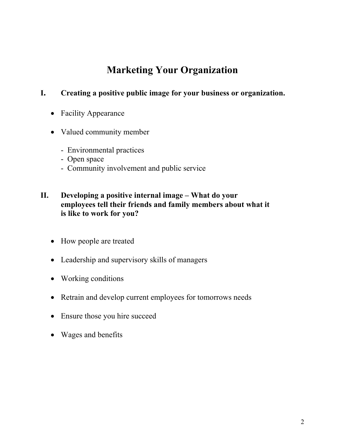### **Marketing Your Organization**

#### **I. Creating a positive public image for your business or organization.**

- Facility Appearance
- Valued community member
	- Environmental practices
	- Open space
	- Community involvement and public service

#### **II. Developing a positive internal image – What do your employees tell their friends and family members about what it is like to work for you?**

- How people are treated
- Leadership and supervisory skills of managers
- Working conditions
- Retrain and develop current employees for tomorrows needs
- Ensure those you hire succeed
- Wages and benefits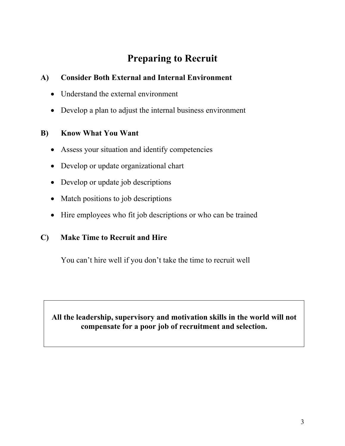# **Preparing to Recruit**

### **A) Consider Both External and Internal Environment**

- Understand the external environment
- Develop a plan to adjust the internal business environment

#### **B) Know What You Want**

- Assess your situation and identify competencies
- Develop or update organizational chart
- Develop or update job descriptions
- Match positions to job descriptions
- Hire employees who fit job descriptions or who can be trained

#### **C) Make Time to Recruit and Hire**

You can't hire well if you don't take the time to recruit well

### **All the leadership, supervisory and motivation skills in the world will not compensate for a poor job of recruitment and selection.**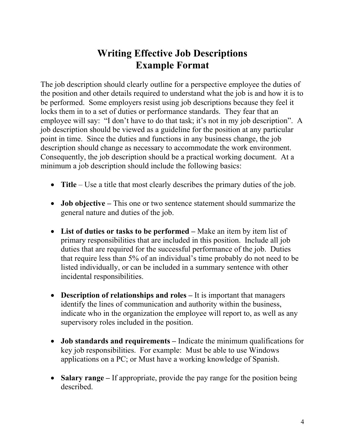### **Writing Effective Job Descriptions Example Format**

The job description should clearly outline for a perspective employee the duties of the position and other details required to understand what the job is and how it is to be performed. Some employers resist using job descriptions because they feel it locks them in to a set of duties or performance standards. They fear that an employee will say: "I don't have to do that task; it's not in my job description". A job description should be viewed as a guideline for the position at any particular point in time. Since the duties and functions in any business change, the job description should change as necessary to accommodate the work environment. Consequently, the job description should be a practical working document. At a minimum a job description should include the following basics:

- **Title** Use a title that most clearly describes the primary duties of the job.
- **Job objective –** This one or two sentence statement should summarize the general nature and duties of the job.
- List of duties or tasks to be performed Make an item by item list of primary responsibilities that are included in this position. Include all job duties that are required for the successful performance of the job. Duties that require less than 5% of an individual's time probably do not need to be listed individually, or can be included in a summary sentence with other incidental responsibilities.
- **Description of relationships and roles –** It is important that managers identify the lines of communication and authority within the business, indicate who in the organization the employee will report to, as well as any supervisory roles included in the position.
- **Job standards and requirements** Indicate the minimum qualifications for key job responsibilities. For example: Must be able to use Windows applications on a PC; or Must have a working knowledge of Spanish.
- **Salary range** If appropriate, provide the pay range for the position being described.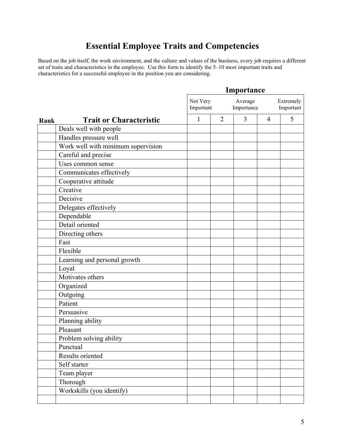### **Essential Employee Traits and Competencies**

Based on the job itself, the work environment, and the culture and values of the business, every job requires a different set of traits and characteristics in the employee. Use this form to identify the 5–10 most important traits and characteristics for a successful employee in the position you are considering.

|      |                                    | Importance            |                |                       |                |                        |  |
|------|------------------------------------|-----------------------|----------------|-----------------------|----------------|------------------------|--|
|      |                                    | Not Very<br>Important |                | Average<br>Importance |                | Extremely<br>Important |  |
| Rank | <b>Trait or Characteristic</b>     | 1                     | $\overline{2}$ | 3                     | $\overline{4}$ | 5                      |  |
|      | Deals well with people             |                       |                |                       |                |                        |  |
|      | Handles pressure well              |                       |                |                       |                |                        |  |
|      | Work well with minimum supervision |                       |                |                       |                |                        |  |
|      | Careful and precise                |                       |                |                       |                |                        |  |
|      | Uses common sense                  |                       |                |                       |                |                        |  |
|      | Communicates effectively           |                       |                |                       |                |                        |  |
|      | Cooperative attitude               |                       |                |                       |                |                        |  |
|      | Creative                           |                       |                |                       |                |                        |  |
|      | Decisive                           |                       |                |                       |                |                        |  |
|      | Delegates effectively              |                       |                |                       |                |                        |  |
|      | Dependable                         |                       |                |                       |                |                        |  |
|      | Detail oriented                    |                       |                |                       |                |                        |  |
|      | Directing others                   |                       |                |                       |                |                        |  |
|      | Fast                               |                       |                |                       |                |                        |  |
|      | Flexible                           |                       |                |                       |                |                        |  |
|      | Learning and personal growth       |                       |                |                       |                |                        |  |
|      | Loyal                              |                       |                |                       |                |                        |  |
|      | Motivates others                   |                       |                |                       |                |                        |  |
|      | Organized                          |                       |                |                       |                |                        |  |
|      | Outgoing                           |                       |                |                       |                |                        |  |
|      | Patient                            |                       |                |                       |                |                        |  |
|      | Persuasive                         |                       |                |                       |                |                        |  |
|      | Planning ability                   |                       |                |                       |                |                        |  |
|      | Pleasant                           |                       |                |                       |                |                        |  |
|      | Problem solving ability            |                       |                |                       |                |                        |  |
|      | Punctual                           |                       |                |                       |                |                        |  |
|      | Results oriented                   |                       |                |                       |                |                        |  |
|      | Self starter                       |                       |                |                       |                |                        |  |
|      | Team player                        |                       |                |                       |                |                        |  |
|      | Thorough                           |                       |                |                       |                |                        |  |
|      | Workskills (you identify)          |                       |                |                       |                |                        |  |
|      |                                    |                       |                |                       |                |                        |  |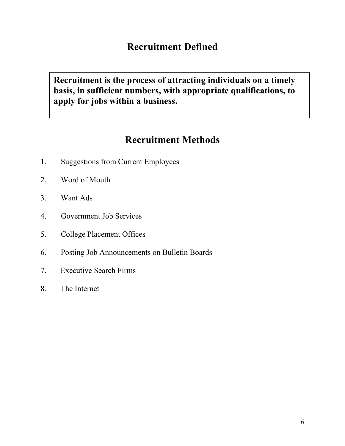### **Recruitment Defined**

**Recruitment is the process of attracting individuals on a timely basis, in sufficient numbers, with appropriate qualifications, to apply for jobs within a business.** 

### **Recruitment Methods**

- 1. Suggestions from Current Employees
- 2. Word of Mouth
- 3. Want Ads
- 4. Government Job Services
- 5. College Placement Offices
- 6. Posting Job Announcements on Bulletin Boards
- 7. Executive Search Firms
- 8. The Internet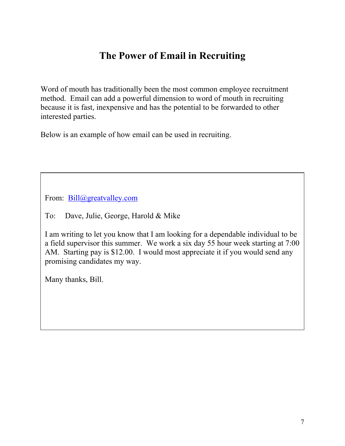# **The Power of Email in Recruiting**

Word of mouth has traditionally been the most common employee recruitment method. Email can add a powerful dimension to word of mouth in recruiting because it is fast, inexpensive and has the potential to be forwarded to other interested parties.

Below is an example of how email can be used in recruiting.

From: Bill@greatvalley.com

To: Dave, Julie, George, Harold & Mike

I am writing to let you know that I am looking for a dependable individual to be a field supervisor this summer. We work a six day 55 hour week starting at 7:00 AM. Starting pay is \$12.00. I would most appreciate it if you would send any promising candidates my way.

Many thanks, Bill.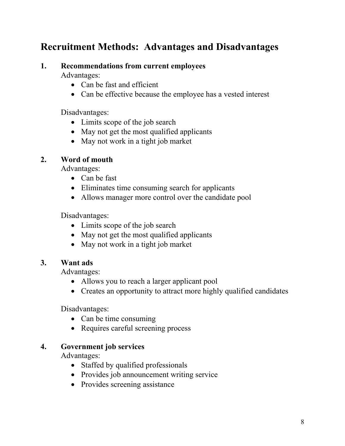### **Recruitment Methods: Advantages and Disadvantages**

#### **1. Recommendations from current employees**

Advantages:

- Can be fast and efficient
- Can be effective because the employee has a vested interest

Disadvantages:

- Limits scope of the job search
- May not get the most qualified applicants
- May not work in a tight job market

#### **2. Word of mouth**

Advantages:

- Can be fast
- Eliminates time consuming search for applicants
- Allows manager more control over the candidate pool

Disadvantages:

- Limits scope of the job search
- May not get the most qualified applicants
- May not work in a tight job market

#### **3. Want ads**

Advantages:

- Allows you to reach a larger applicant pool
- Creates an opportunity to attract more highly qualified candidates

Disadvantages:

- Can be time consuming
- Requires careful screening process

#### **4. Government job services**

Advantages:

- Staffed by qualified professionals
- Provides job announcement writing service
- Provides screening assistance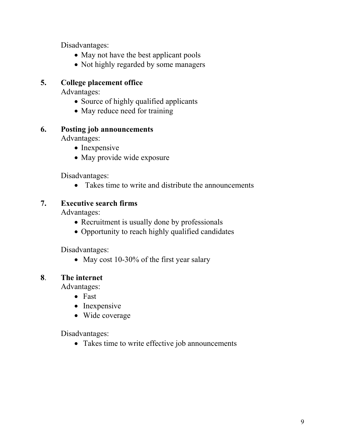Disadvantages:

- May not have the best applicant pools
- Not highly regarded by some managers

#### **5. College placement office**

Advantages:

- Source of highly qualified applicants
- May reduce need for training

#### **6. Posting job announcements**

Advantages:

- Inexpensive
- May provide wide exposure

Disadvantages:

• Takes time to write and distribute the announcements

#### **7. Executive search firms**

Advantages:

- Recruitment is usually done by professionals
- Opportunity to reach highly qualified candidates

Disadvantages:

• May cost 10-30% of the first year salary

#### **8**. **The internet**

Advantages:

- Fast
- Inexpensive
- Wide coverage

Disadvantages:

• Takes time to write effective job announcements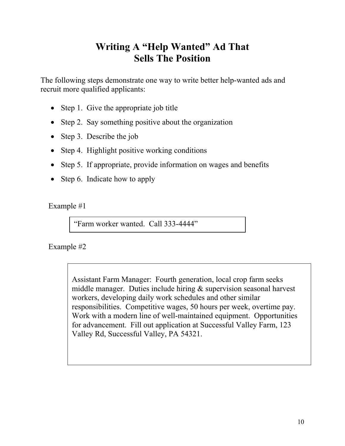### **Writing A "Help Wanted" Ad That Sells The Position**

The following steps demonstrate one way to write better help-wanted ads and recruit more qualified applicants:

- Step 1. Give the appropriate job title
- Step 2. Say something positive about the organization
- Step 3. Describe the job
- Step 4. Highlight positive working conditions
- Step 5. If appropriate, provide information on wages and benefits
- Step 6. Indicate how to apply

Example #1

"Farm worker wanted. Call 333-4444"

Example #2

Assistant Farm Manager: Fourth generation, local crop farm seeks middle manager. Duties include hiring & supervision seasonal harvest workers, developing daily work schedules and other similar responsibilities. Competitive wages, 50 hours per week, overtime pay. Work with a modern line of well-maintained equipment. Opportunities for advancement. Fill out application at Successful Valley Farm, 123 Valley Rd, Successful Valley, PA 54321.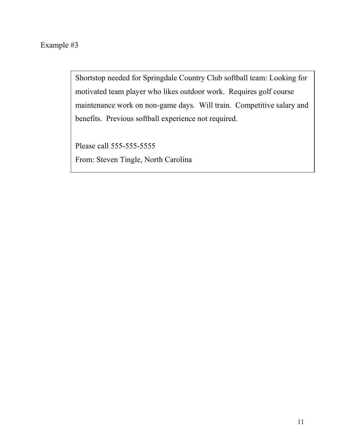### Example #3

Shortstop needed for Springdale Country Club softball team: Looking for motivated team player who likes outdoor work. Requires golf course maintenance work on non-game days. Will train. Competitive salary and benefits. Previous softball experience not required.

Please call 555-555-5555 From: Steven Tingle, North Carolina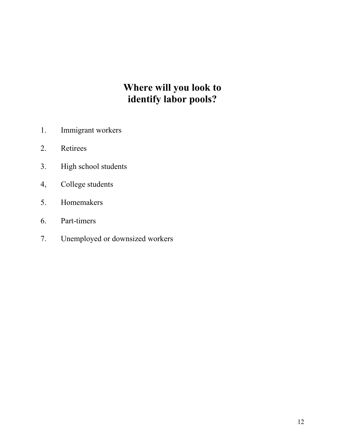# **Where will you look to identify labor pools?**

- 1. Immigrant workers
- 2. Retirees
- 3. High school students
- 4, College students
- 5. Homemakers
- 6. Part-timers
- 7. Unemployed or downsized workers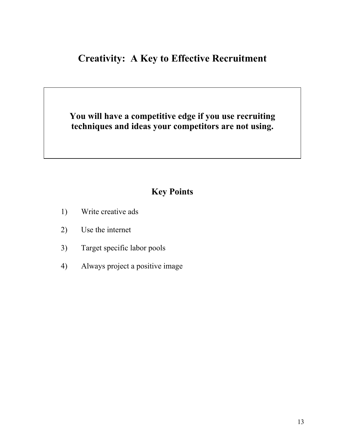### **Creativity: A Key to Effective Recruitment**

### **You will have a competitive edge if you use recruiting techniques and ideas your competitors are not using.**

### **Key Points**

- 1) Write creative ads
- 2) Use the internet
- 3) Target specific labor pools
- 4) Always project a positive image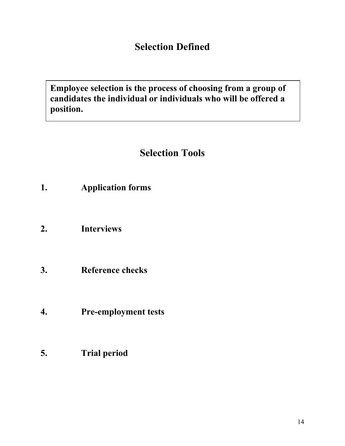### **Selection Defined**

**Employee selection is the process of choosing from a group of candidates the individual or individuals who will be offered a position.**

# **Selection Tools**

- **1. Application forms**
- **2. Interviews**
- **3. Reference checks**
- **4. Pre-employment tests**
- **5. Trial period**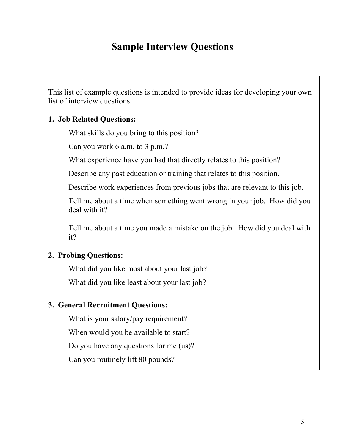### **Sample Interview Questions**

This list of example questions is intended to provide ideas for developing your own list of interview questions.

#### **1. Job Related Questions:**

What skills do you bring to this position?

Can you work 6 a.m. to 3 p.m.?

What experience have you had that directly relates to this position?

Describe any past education or training that relates to this position.

Describe work experiences from previous jobs that are relevant to this job.

 Tell me about a time when something went wrong in your job. How did you deal with it?

Tell me about a time you made a mistake on the job. How did you deal with it?

#### **2. Probing Questions:**

What did you like most about your last job?

What did you like least about your last job?

#### **3. General Recruitment Questions:**

What is your salary/pay requirement?

When would you be available to start?

Do you have any questions for me (us)?

Can you routinely lift 80 pounds?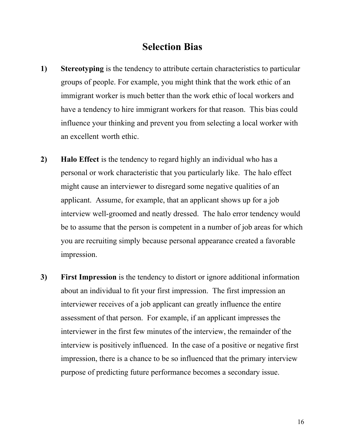### **Selection Bias**

- **1) Stereotyping** is the tendency to attribute certain characteristics to particular groups of people. For example, you might think that the work ethic of an immigrant worker is much better than the work ethic of local workers and have a tendency to hire immigrant workers for that reason. This bias could influence your thinking and prevent you from selecting a local worker with an excellent worth ethic.
- **2) Halo Effect** is the tendency to regard highly an individual who has a personal or work characteristic that you particularly like. The halo effect might cause an interviewer to disregard some negative qualities of an applicant. Assume, for example, that an applicant shows up for a job interview well-groomed and neatly dressed. The halo error tendency would be to assume that the person is competent in a number of job areas for which you are recruiting simply because personal appearance created a favorable impression.
- **3) First Impression** is the tendency to distort or ignore additional information about an individual to fit your first impression. The first impression an interviewer receives of a job applicant can greatly influence the entire assessment of that person. For example, if an applicant impresses the interviewer in the first few minutes of the interview, the remainder of the interview is positively influenced. In the case of a positive or negative first impression, there is a chance to be so influenced that the primary interview purpose of predicting future performance becomes a secondary issue.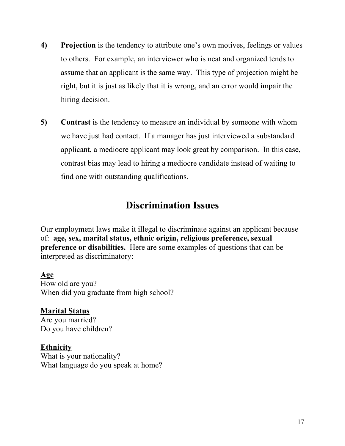- **4) Projection** is the tendency to attribute one's own motives, feelings or values to others. For example, an interviewer who is neat and organized tends to assume that an applicant is the same way. This type of projection might be right, but it is just as likely that it is wrong, and an error would impair the hiring decision.
- **5)** Contrast is the tendency to measure an individual by someone with whom we have just had contact. If a manager has just interviewed a substandard applicant, a mediocre applicant may look great by comparison. In this case, contrast bias may lead to hiring a mediocre candidate instead of waiting to find one with outstanding qualifications.

### **Discrimination Issues**

Our employment laws make it illegal to discriminate against an applicant because of: **age, sex, marital status, ethnic origin, religious preference, sexual preference or disabilities.** Here are some examples of questions that can be interpreted as discriminatory:

### **Age**

How old are you? When did you graduate from high school?

**Marital Status** Are you married? Do you have children?

**Ethnicity**  What is your nationality? What language do you speak at home?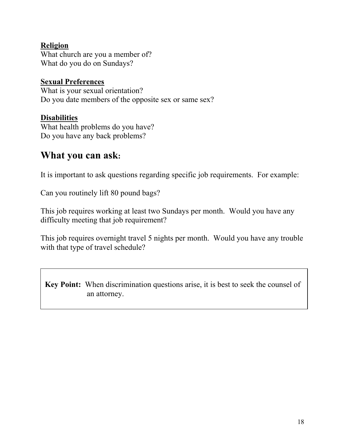#### **Religion**

What church are you a member of? What do you do on Sundays?

#### **Sexual Preferences**

What is your sexual orientation? Do you date members of the opposite sex or same sex?

#### **Disabilities**

What health problems do you have? Do you have any back problems?

### **What you can ask:**

It is important to ask questions regarding specific job requirements. For example:

Can you routinely lift 80 pound bags?

This job requires working at least two Sundays per month. Would you have any difficulty meeting that job requirement?

This job requires overnight travel 5 nights per month. Would you have any trouble with that type of travel schedule?

**Key Point:** When discrimination questions arise, it is best to seek the counsel of an attorney.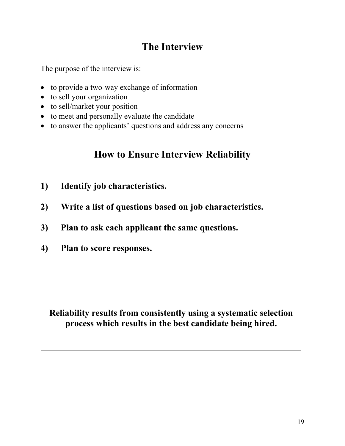# **The Interview**

The purpose of the interview is:

- to provide a two-way exchange of information
- to sell your organization
- to sell/market your position
- to meet and personally evaluate the candidate
- to answer the applicants' questions and address any concerns

### **How to Ensure Interview Reliability**

- **1) Identify job characteristics.**
- **2) Write a list of questions based on job characteristics.**
- **3) Plan to ask each applicant the same questions.**
- **4) Plan to score responses.**

**Reliability results from consistently using a systematic selection process which results in the best candidate being hired.**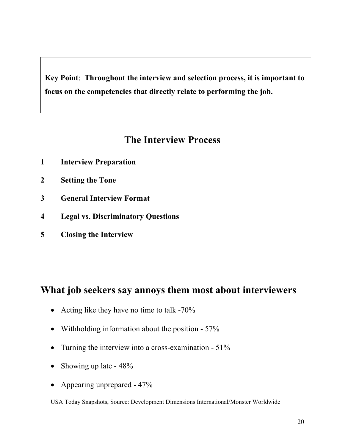**Key Point**: **Throughout the interview and selection process, it is important to focus on the competencies that directly relate to performing the job.**

### **The Interview Process**

- **1 Interview Preparation**
- **2 Setting the Tone**
- **3 General Interview Format**
- **4 Legal vs. Discriminatory Questions**
- **5 Closing the Interview**

### **What job seekers say annoys them most about interviewers**

- Acting like they have no time to talk -70%
- Withholding information about the position 57%
- Turning the interview into a cross-examination 51%
- Showing up late  $48\%$
- Appearing unprepared 47%

USA Today Snapshots, Source: Development Dimensions International/Monster Worldwide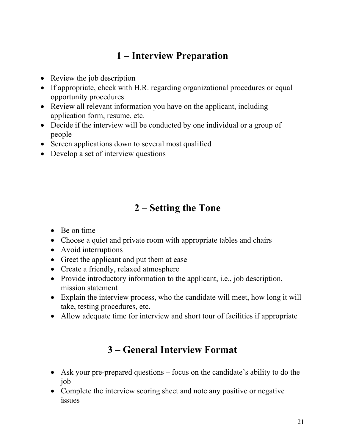# **1 – Interview Preparation**

- Review the job description
- If appropriate, check with H.R. regarding organizational procedures or equal opportunity procedures
- Review all relevant information you have on the applicant, including application form, resume, etc.
- Decide if the interview will be conducted by one individual or a group of people
- Screen applications down to several most qualified
- Develop a set of interview questions

# **2 – Setting the Tone**

- Be on time
- Choose a quiet and private room with appropriate tables and chairs
- Avoid interruptions
- Greet the applicant and put them at ease
- Create a friendly, relaxed atmosphere
- Provide introductory information to the applicant, i.e., job description, mission statement
- Explain the interview process, who the candidate will meet, how long it will take, testing procedures, etc.
- Allow adequate time for interview and short tour of facilities if appropriate

# **3 – General Interview Format**

- Ask your pre-prepared questions focus on the candidate's ability to do the job
- Complete the interview scoring sheet and note any positive or negative issues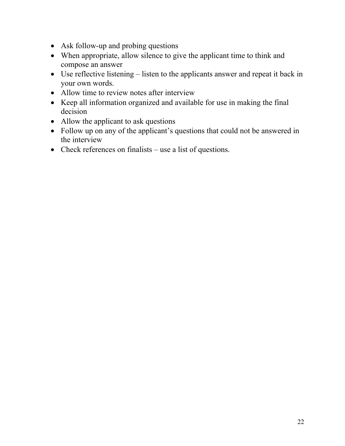- Ask follow-up and probing questions
- When appropriate, allow silence to give the applicant time to think and compose an answer
- Use reflective listening listen to the applicants answer and repeat it back in your own words.
- Allow time to review notes after interview
- Keep all information organized and available for use in making the final decision
- Allow the applicant to ask questions
- Follow up on any of the applicant's questions that could not be answered in the interview
- Check references on finalists use a list of questions.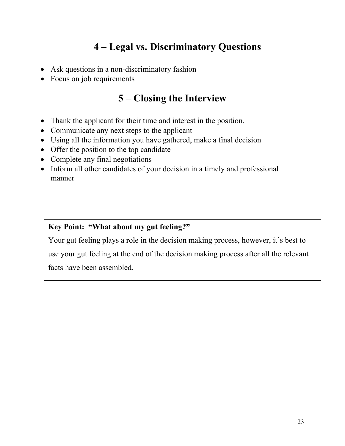# **4 – Legal vs. Discriminatory Questions**

- Ask questions in a non-discriminatory fashion
- Focus on job requirements

# **5 – Closing the Interview**

- Thank the applicant for their time and interest in the position.
- Communicate any next steps to the applicant
- Using all the information you have gathered, make a final decision
- Offer the position to the top candidate
- Complete any final negotiations
- Inform all other candidates of your decision in a timely and professional manner

#### **Key Point: "What about my gut feeling?"**

Your gut feeling plays a role in the decision making process, however, it's best to use your gut feeling at the end of the decision making process after all the relevant facts have been assembled.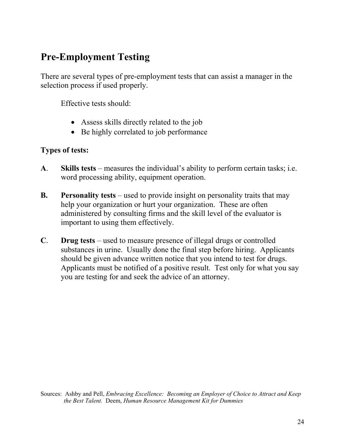# **Pre-Employment Testing**

There are several types of pre-employment tests that can assist a manager in the selection process if used properly.

Effective tests should:

- Assess skills directly related to the job
- Be highly correlated to job performance

#### **Types of tests:**

- **A**. **Skills tests** measures the individual's ability to perform certain tasks; i.e. word processing ability, equipment operation.
- **B. Personality tests** used to provide insight on personality traits that may help your organization or hurt your organization. These are often administered by consulting firms and the skill level of the evaluator is important to using them effectively.
- **C**. **Drug tests** used to measure presence of illegal drugs or controlled substances in urine. Usually done the final step before hiring. Applicants should be given advance written notice that you intend to test for drugs. Applicants must be notified of a positive result. Test only for what you say you are testing for and seek the advice of an attorney.

Sources: Ashby and Pell, *Embracing Excellence: Becoming an Employer of Choice to Attract and Keep the Best Talent.* Deem, *Human Resource Management Kit for Dummies*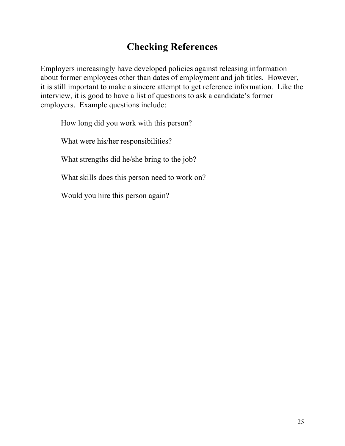# **Checking References**

Employers increasingly have developed policies against releasing information about former employees other than dates of employment and job titles. However, it is still important to make a sincere attempt to get reference information. Like the interview, it is good to have a list of questions to ask a candidate's former employers. Example questions include:

How long did you work with this person?

What were his/her responsibilities?

What strengths did he/she bring to the job?

What skills does this person need to work on?

Would you hire this person again?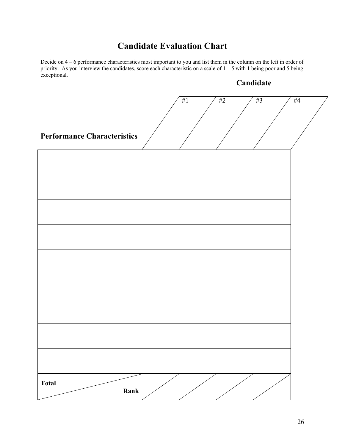### **Candidate Evaluation Chart**

Decide on 4 – 6 performance characteristics most important to you and list them in the column on the left in order of priority. As you interview the candidates, score each characteristic on a scale of 1 – 5 with 1 being poor and 5 being exceptional.

#### **Candidate**

| <b>Performance Characteristics</b> |  | #1 | $\#2$ | $#3$ | #4 |
|------------------------------------|--|----|-------|------|----|
|                                    |  |    |       |      |    |
|                                    |  |    |       |      |    |
|                                    |  |    |       |      |    |
|                                    |  |    |       |      |    |
|                                    |  |    |       |      |    |
|                                    |  |    |       |      |    |
|                                    |  |    |       |      |    |
|                                    |  |    |       |      |    |
|                                    |  |    |       |      |    |
|                                    |  |    |       |      |    |
|                                    |  |    |       |      |    |
|                                    |  |    |       |      |    |
|                                    |  |    |       |      |    |
|                                    |  |    |       |      |    |
| <b>Total</b><br>Rank               |  |    |       |      |    |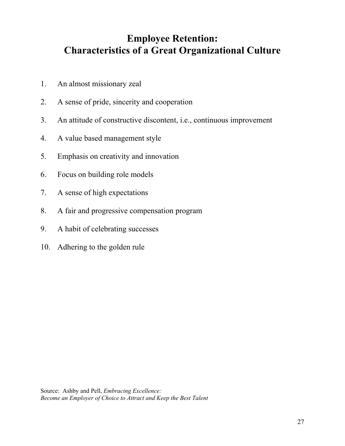# **Employee Retention: Characteristics of a Great Organizational Culture**

- 1. An almost missionary zeal
- 2. A sense of pride, sincerity and cooperation
- 3. An attitude of constructive discontent, i.e., continuous improvement
- 4. A value based management style
- 5. Emphasis on creativity and innovation
- 6. Focus on building role models
- 7. A sense of high expectations
- 8. A fair and progressive compensation program
- 9. A habit of celebrating successes
- 10. Adhering to the golden rule

Source: Ashby and Pell, *Embracing Excellence: Become an Employer of Choice to Attract and Keep the Best Talent*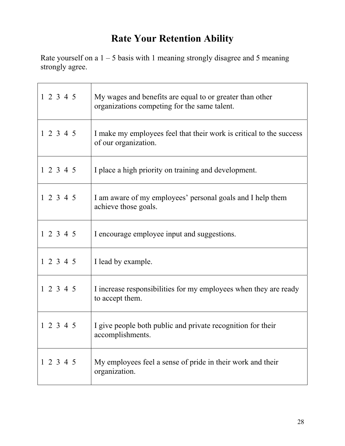# **Rate Your Retention Ability**

Rate yourself on a  $1 - 5$  basis with 1 meaning strongly disagree and 5 meaning strongly agree.

| 1 2 3 4 5 | My wages and benefits are equal to or greater than other<br>organizations competing for the same talent. |
|-----------|----------------------------------------------------------------------------------------------------------|
| 1 2 3 4 5 | I make my employees feel that their work is critical to the success<br>of our organization.              |
| 12345     | I place a high priority on training and development.                                                     |
| 12345     | I am aware of my employees' personal goals and I help them<br>achieve those goals.                       |
| 12345     | I encourage employee input and suggestions.                                                              |
| 12345     | I lead by example.                                                                                       |
| 1 2 3 4 5 | I increase responsibilities for my employees when they are ready<br>to accept them.                      |
| 1 2 3 4 5 | I give people both public and private recognition for their<br>accomplishments.                          |
| 1 2 3 4 5 | My employees feel a sense of pride in their work and their<br>organization.                              |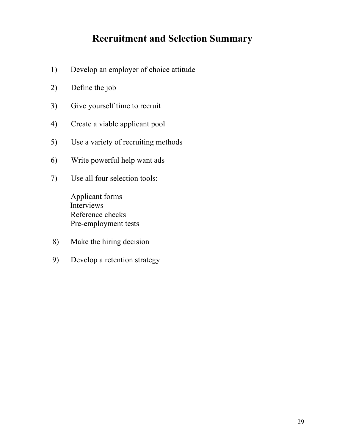### **Recruitment and Selection Summary**

- 1) Develop an employer of choice attitude
- 2) Define the job
- 3) Give yourself time to recruit
- 4) Create a viable applicant pool
- 5) Use a variety of recruiting methods
- 6) Write powerful help want ads
- 7) Use all four selection tools:

Applicant forms Interviews Reference checks Pre-employment tests

- 8) Make the hiring decision
- 9) Develop a retention strategy